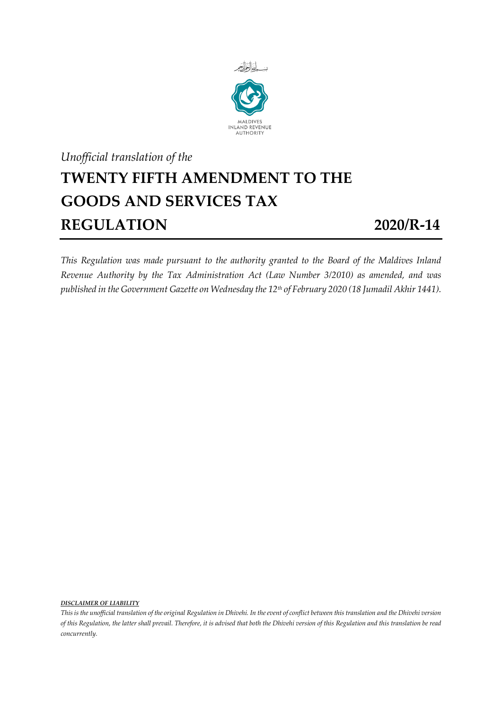

## *Unofficial translation of the* **TWENTY FIFTH AMENDMENT TO THE GOODS AND SERVICES TAX REGULATION 2020/R-14**

*This Regulation was made pursuant to the authority granted to the Board of the Maldives Inland Revenue Authority by the Tax Administration Act (Law Number 3/2010) as amended, and was published in the Government Gazette on Wednesday the 12th of February 2020 (18 Jumadil Akhir 1441).*

*DISCLAIMER OF LIABILITY*

*This is the unofficial translation of the original Regulation in Dhivehi. In the event of conflict between this translation and the Dhivehi version of this Regulation, the latter shall prevail. Therefore, it is advised that both the Dhivehi version of this Regulation and this translation be read concurrently.*